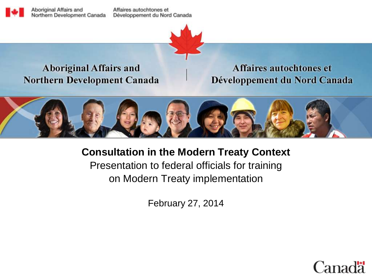Aboriginal Affairs and Northern Development Canada

Affaires autochtones et Développement du Nord Canada



#### **Aboriginal Affairs and Northern Development Canada**

Affaires autochtones et Développement du Nord Canada



**Consultation in the Modern Treaty Context** Presentation to federal officials for training on Modern Treaty implementation

February 27, 2014

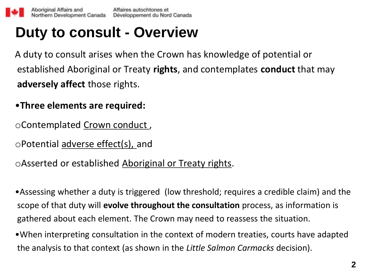## **Duty to consult - Overview**

A duty to consult arises when the Crown has knowledge of potential or established Aboriginal or Treaty **rights**, and contemplates **conduct** that may **adversely affect** those rights.

- •**Three elements are required:**
- oContemplated Crown conduct ,
- oPotential adverse effect(s), and

oAsserted or established Aboriginal or Treaty rights.

•Assessing whether a duty is triggered (low threshold; requires a credible claim) and the scope of that duty will **evolve throughout the consultation** process, as information is gathered about each element. The Crown may need to reassess the situation.

•When interpreting consultation in the context of modern treaties, courts have adapted the analysis to that context (as shown in the *Little Salmon Carmacks* decision).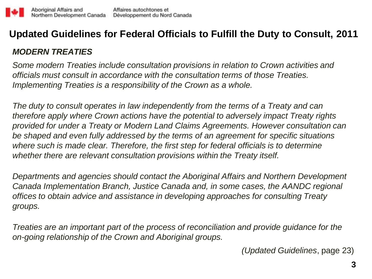#### **Updated Guidelines for Federal Officials to Fulfill the Duty to Consult, 2011**

#### *MODERN TREATIES*

*Some modern Treaties include consultation provisions in relation to Crown activities and officials must consult in accordance with the consultation terms of those Treaties. Implementing Treaties is a responsibility of the Crown as a whole.*

*The duty to consult operates in law independently from the terms of a Treaty and can therefore apply where Crown actions have the potential to adversely impact Treaty rights provided for under a Treaty or Modern Land Claims Agreements. However consultation can be shaped and even fully addressed by the terms of an agreement for specific situations where such is made clear. Therefore, the first step for federal officials is to determine whether there are relevant consultation provisions within the Treaty itself.*

*Departments and agencies should contact the Aboriginal Affairs and Northern Development Canada Implementation Branch, Justice Canada and, in some cases, the AANDC regional offices to obtain advice and assistance in developing approaches for consulting Treaty groups.*

*Treaties are an important part of the process of reconciliation and provide guidance for the on-going relationship of the Crown and Aboriginal groups.*

*(Updated Guidelines*, page 23)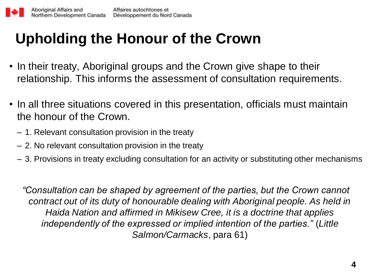## **Upholding the Honour of the Crown**

- In their treaty, Aboriginal groups and the Crown give shape to their relationship. This informs the assessment of consultation requirements.
- In all three situations covered in this presentation, officials must maintain the honour of the Crown.
	- 1. Relevant consultation provision in the treaty
	- 2. No relevant consultation provision in the treaty
	- 3. Provisions in treaty excluding consultation for an activity or substituting other mechanisms

*"Consultation can be shaped by agreement of the parties, but the Crown cannot contract out of its duty of honourable dealing with Aboriginal people. As held in Haida Nation and affirmed in Mikisew Cree, it is a doctrine that applies independently of the expressed or implied intention of the parties."* (*Little Salmon/Carmacks*, para 61)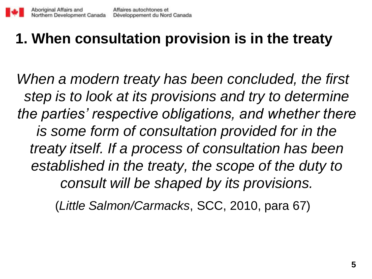## **1. When consultation provision is in the treaty**

*When a modern treaty has been concluded, the first step is to look at its provisions and try to determine the parties' respective obligations, and whether there is some form of consultation provided for in the treaty itself. If a process of consultation has been established in the treaty, the scope of the duty to consult will be shaped by its provisions.* 

(*Little Salmon/Carmacks*, SCC, 2010, para 67)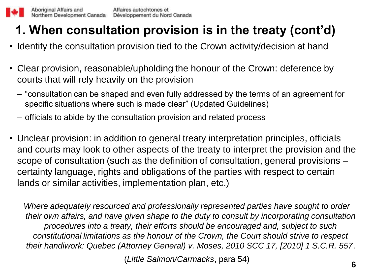### **1. When consultation provision is in the treaty (cont'd)**

- Identify the consultation provision tied to the Crown activity/decision at hand
- Clear provision, reasonable/upholding the honour of the Crown: deference by courts that will rely heavily on the provision
	- "consultation can be shaped and even fully addressed by the terms of an agreement for specific situations where such is made clear" (Updated Guidelines)
	- officials to abide by the consultation provision and related process
- Unclear provision: in addition to general treaty interpretation principles, officials and courts may look to other aspects of the treaty to interpret the provision and the scope of consultation (such as the definition of consultation, general provisions – certainty language, rights and obligations of the parties with respect to certain lands or similar activities, implementation plan, etc.)

*Where adequately resourced and professionally represented parties have sought to order their own affairs, and have given shape to the duty to consult by incorporating consultation procedures into a treaty, their efforts should be encouraged and, subject to such constitutional limitations as the honour of the Crown, the Court should strive to respect their handiwork: Quebec (Attorney General) v. Moses, 2010 SCC 17, [2010] 1 S.C.R. 557*.

(*Little Salmon/Carmacks*, para 54) **<sup>6</sup>**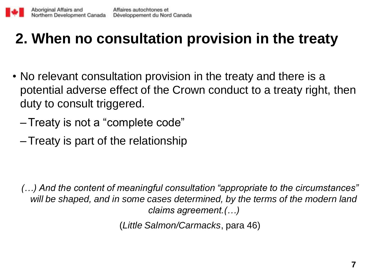# **2. When no consultation provision in the treaty**

- No relevant consultation provision in the treaty and there is a potential adverse effect of the Crown conduct to a treaty right, then duty to consult triggered.
	- –Treaty is not a "complete code"
	- –Treaty is part of the relationship

*(…) And the content of meaningful consultation "appropriate to the circumstances"*  will be shaped, and in some cases determined, by the terms of the modern land *claims agreement.(…)*

(*Little Salmon/Carmacks*, para 46)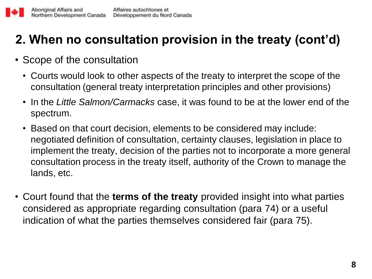### **2. When no consultation provision in the treaty (cont'd)**

- Scope of the consultation
	- Courts would look to other aspects of the treaty to interpret the scope of the consultation (general treaty interpretation principles and other provisions)
	- In the *Little Salmon/Carmacks* case, it was found to be at the lower end of the spectrum.
	- Based on that court decision, elements to be considered may include: negotiated definition of consultation, certainty clauses, legislation in place to implement the treaty, decision of the parties not to incorporate a more general consultation process in the treaty itself, authority of the Crown to manage the lands, etc.
- Court found that the **terms of the treaty** provided insight into what parties considered as appropriate regarding consultation (para 74) or a useful indication of what the parties themselves considered fair (para 75).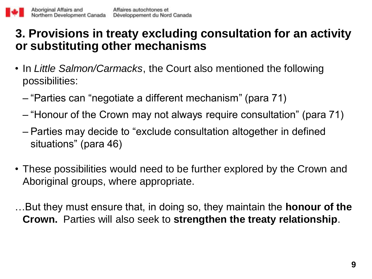### **3. Provisions in treaty excluding consultation for an activity or substituting other mechanisms**

- In *Little Salmon/Carmacks*, the Court also mentioned the following possibilities:
	- "Parties can "negotiate a different mechanism" (para 71)
	- "Honour of the Crown may not always require consultation" (para 71)
	- Parties may decide to "exclude consultation altogether in defined situations" (para 46)
- These possibilities would need to be further explored by the Crown and Aboriginal groups, where appropriate.

…But they must ensure that, in doing so, they maintain the **honour of the Crown.** Parties will also seek to **strengthen the treaty relationship**.